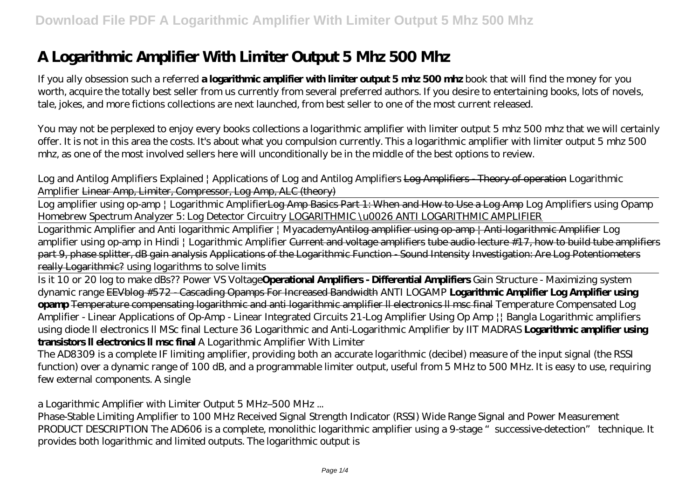# **A Logarithmic Amplifier With Limiter Output 5 Mhz 500 Mhz**

If you ally obsession such a referred **a logarithmic amplifier with limiter output 5 mhz 500 mhz** book that will find the money for you worth, acquire the totally best seller from us currently from several preferred authors. If you desire to entertaining books, lots of novels, tale, jokes, and more fictions collections are next launched, from best seller to one of the most current released.

You may not be perplexed to enjoy every books collections a logarithmic amplifier with limiter output 5 mhz 500 mhz that we will certainly offer. It is not in this area the costs. It's about what you compulsion currently. This a logarithmic amplifier with limiter output 5 mhz 500 mhz, as one of the most involved sellers here will unconditionally be in the middle of the best options to review.

*Log and Antilog Amplifiers Explained | Applications of Log and Antilog Amplifiers* Log Amplifiers - Theory of operation *Logarithmic Amplifier* Linear Amp, Limiter, Compressor, Log Amp, ALC (theory)

Log amplifier using op-amp | Logarithmic AmplifierLog Amp Basics Part 1: When and How to Use a Log Amp *Log Amplifiers using Opamp Homebrew Spectrum Analyzer 5: Log Detector Circuitry* LOGARITHMIC \u0026 ANTI LOGARITHMIC AMPLIFIER

Logarithmic Amplifier and Anti logarithmic Amplifier | MyacademyAntilog amplifier using op-amp | Anti-logarithmic Amplifier *Log amplifier using op-amp in Hindi | Logarithmic Amplifier* Current and voltage amplifiers tube audio lecture #17, how to build tube amplifiers part 9, phase splitter, dB gain analysis Applications of the Logarithmic Function - Sound Intensity Investigation: Are Log Potentiometers really Logarithmic? *using logarithms to solve limits*

Is it 10 or 20 log to make dBs?? Power VS Voltage**Operational Amplifiers - Differential Amplifiers** *Gain Structure - Maximizing system dynamic range* EEVblog #572 - Cascading Opamps For Increased Bandwidth ANTI LOGAMP **Logarithmic Amplifier Log Amplifier using opamp** Temperature compensating logarithmic and anti logarithmic amplifier ll electronics ll msc final Temperature Compensated Log Amplifier - Linear Applications of Op-Amp - Linear Integrated Circuits 21-Log Amplifier Using Op Amp || Bangla Logarithmic amplifiers using diode ll electronics ll MSc final *Lecture 36 Logarithmic and Anti-Logarithmic Amplifier by IIT MADRAS* **Logarithmic amplifier using transistors ll electronics ll msc final** *A Logarithmic Amplifier With Limiter*

The AD8309 is a complete IF limiting amplifier, providing both an accurate logarithmic (decibel) measure of the input signal (the RSSI function) over a dynamic range of 100 dB, and a programmable limiter output, useful from 5 MHz to 500 MHz. It is easy to use, requiring few external components. A single

#### *a Logarithmic Amplifier with Limiter Output 5 MHz–500 MHz ...*

Phase-Stable Limiting Amplifier to 100 MHz Received Signal Strength Indicator (RSSI) Wide Range Signal and Power Measurement PRODUCT DESCRIPTION The AD606 is a complete, monolithic logarithmic amplifier using a 9-stage "successive-detection" technique. It provides both logarithmic and limited outputs. The logarithmic output is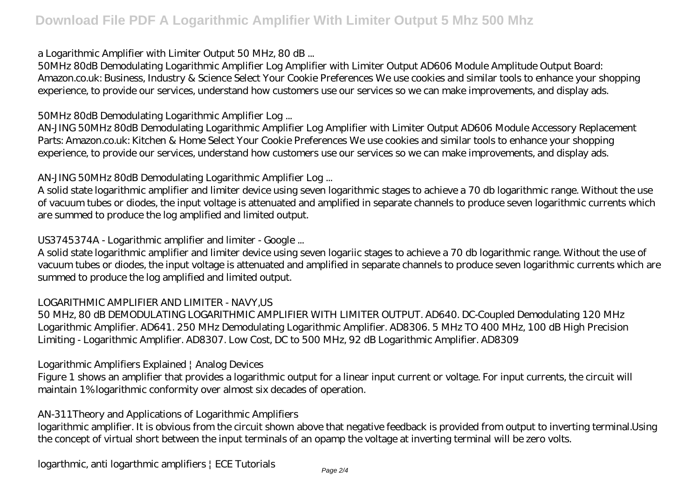#### *a Logarithmic Amplifier with Limiter Output 50 MHz, 80 dB ...*

50MHz 80dB Demodulating Logarithmic Amplifier Log Amplifier with Limiter Output AD606 Module Amplitude Output Board: Amazon.co.uk: Business, Industry & Science Select Your Cookie Preferences We use cookies and similar tools to enhance your shopping experience, to provide our services, understand how customers use our services so we can make improvements, and display ads.

#### *50MHz 80dB Demodulating Logarithmic Amplifier Log ...*

AN-JING 50MHz 80dB Demodulating Logarithmic Amplifier Log Amplifier with Limiter Output AD606 Module Accessory Replacement Parts: Amazon.co.uk: Kitchen & Home Select Your Cookie Preferences We use cookies and similar tools to enhance your shopping experience, to provide our services, understand how customers use our services so we can make improvements, and display ads.

## *AN-JING 50MHz 80dB Demodulating Logarithmic Amplifier Log ...*

A solid state logarithmic amplifier and limiter device using seven logarithmic stages to achieve a 70 db logarithmic range. Without the use of vacuum tubes or diodes, the input voltage is attenuated and amplified in separate channels to produce seven logarithmic currents which are summed to produce the log amplified and limited output.

## *US3745374A - Logarithmic amplifier and limiter - Google ...*

A solid state logarithmic amplifier and limiter device using seven logariic stages to achieve a 70 db logarithmic range. Without the use of vacuum tubes or diodes, the input voltage is attenuated and amplified in separate channels to produce seven logarithmic currents which are summed to produce the log amplified and limited output.

#### *LOGARITHMIC AMPLIFIER AND LIMITER - NAVY,US*

50 MHz, 80 dB DEMODULATING LOGARITHMIC AMPLIFIER WITH LIMITER OUTPUT. AD640. DC-Coupled Demodulating 120 MHz Logarithmic Amplifier. AD641. 250 MHz Demodulating Logarithmic Amplifier. AD8306. 5 MHz TO 400 MHz, 100 dB High Precision Limiting - Logarithmic Amplifier. AD8307. Low Cost, DC to 500 MHz, 92 dB Logarithmic Amplifier. AD8309

#### *Logarithmic Amplifiers Explained | Analog Devices*

Figure 1 shows an amplifier that provides a logarithmic output for a linear input current or voltage. For input currents, the circuit will maintain 1% logarithmic conformity over almost six decades of operation.

#### *AN-311Theory and Applications of Logarithmic Amplifiers*

logarithmic amplifier. It is obvious from the circuit shown above that negative feedback is provided from output to inverting terminal.Using the concept of virtual short between the input terminals of an opamp the voltage at inverting terminal will be zero volts.

#### *logarthmic, anti logarthmic amplifiers | ECE Tutorials*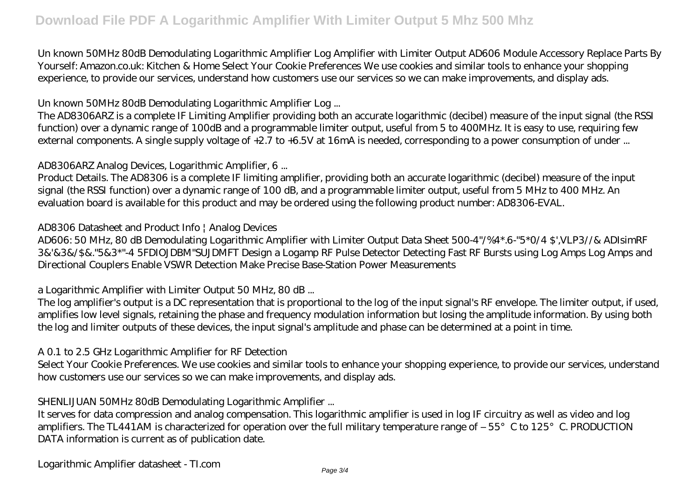Un known 50MHz 80dB Demodulating Logarithmic Amplifier Log Amplifier with Limiter Output AD606 Module Accessory Replace Parts By Yourself: Amazon.co.uk: Kitchen & Home Select Your Cookie Preferences We use cookies and similar tools to enhance your shopping experience, to provide our services, understand how customers use our services so we can make improvements, and display ads.

#### *Un known 50MHz 80dB Demodulating Logarithmic Amplifier Log ...*

The AD8306ARZ is a complete IF Limiting Amplifier providing both an accurate logarithmic (decibel) measure of the input signal (the RSSI function) over a dynamic range of 100dB and a programmable limiter output, useful from 5 to 400MHz. It is easy to use, requiring few external components. A single supply voltage of +2.7 to +6.5V at 16mA is needed, corresponding to a power consumption of under ...

#### *AD8306ARZ Analog Devices, Logarithmic Amplifier, 6 ...*

Product Details. The AD8306 is a complete IF limiting amplifier, providing both an accurate logarithmic (decibel) measure of the input signal (the RSSI function) over a dynamic range of 100 dB, and a programmable limiter output, useful from 5 MHz to 400 MHz. An evaluation board is available for this product and may be ordered using the following product number: AD8306-EVAL.

#### *AD8306 Datasheet and Product Info | Analog Devices*

AD606: 50 MHz, 80 dB Demodulating Logarithmic Amplifier with Limiter Output Data Sheet 500-4"/%4\*.6-"5\*0/4 \$',VLP3//& ADIsimRF 3&'&3&/\$&."5&3\*"-4 5FDIOJDBM"SUJDMFT Design a Logamp RF Pulse Detector Detecting Fast RF Bursts using Log Amps Log Amps and Directional Couplers Enable VSWR Detection Make Precise Base-Station Power Measurements

#### *a Logarithmic Amplifier with Limiter Output 50 MHz, 80 dB ...*

The log amplifier's output is a DC representation that is proportional to the log of the input signal's RF envelope. The limiter output, if used, amplifies low level signals, retaining the phase and frequency modulation information but losing the amplitude information. By using both the log and limiter outputs of these devices, the input signal's amplitude and phase can be determined at a point in time.

#### *A 0.1 to 2.5 GHz Logarithmic Amplifier for RF Detection*

Select Your Cookie Preferences. We use cookies and similar tools to enhance your shopping experience, to provide our services, understand how customers use our services so we can make improvements, and display ads.

#### *SHENLIJUAN 50MHz 80dB Demodulating Logarithmic Amplifier ...*

It serves for data compression and analog compensation. This logarithmic amplifier is used in log IF circuitry as well as video and log amplifiers. The TL441AM is characterized for operation over the full military temperature range of  $-55^{\circ}$  C to  $125^{\circ}$  C. PRODUCTION DATA information is current as of publication date.